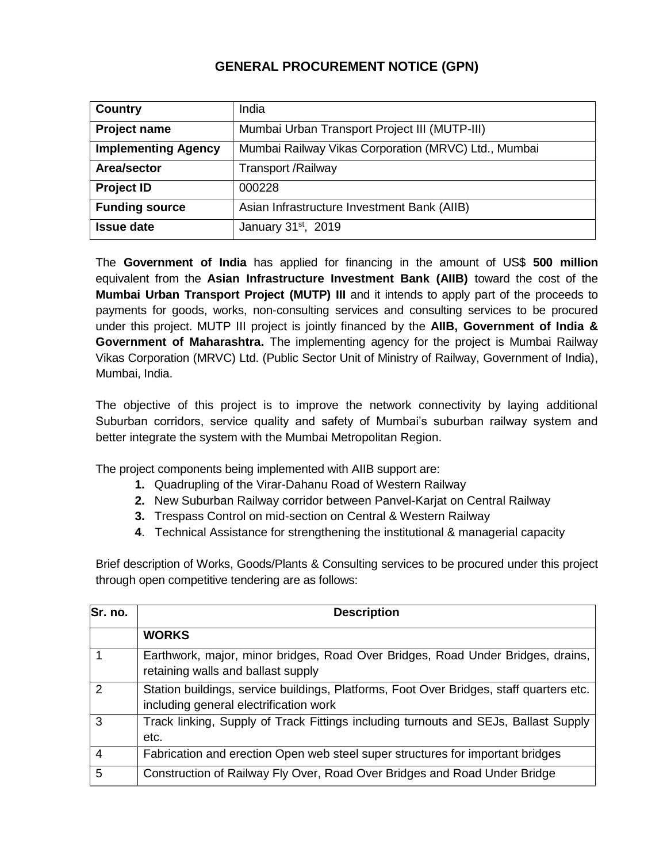## **GENERAL PROCUREMENT NOTICE (GPN)**

| Country                    | India                                                |
|----------------------------|------------------------------------------------------|
| <b>Project name</b>        | Mumbai Urban Transport Project III (MUTP-III)        |
| <b>Implementing Agency</b> | Mumbai Railway Vikas Corporation (MRVC) Ltd., Mumbai |
| Area/sector                | <b>Transport /Railway</b>                            |
| <b>Project ID</b>          | 000228                                               |
| <b>Funding source</b>      | Asian Infrastructure Investment Bank (AIIB)          |
| <b>Issue date</b>          | January $31st$ , 2019                                |

The **Government of India** has applied for financing in the amount of US\$ **500 million** equivalent from the **Asian Infrastructure Investment Bank (AIIB)** toward the cost of the **Mumbai Urban Transport Project (MUTP) III** and it intends to apply part of the proceeds to payments for goods, works, non-consulting services and consulting services to be procured under this project. MUTP III project is jointly financed by the **AIIB, Government of India & Government of Maharashtra.** The implementing agency for the project is Mumbai Railway Vikas Corporation (MRVC) Ltd. (Public Sector Unit of Ministry of Railway, Government of India), Mumbai, India.

The objective of this project is to improve the network connectivity by laying additional Suburban corridors, service quality and safety of Mumbai's suburban railway system and better integrate the system with the Mumbai Metropolitan Region.

The project components being implemented with AIIB support are:

- **1.** Quadrupling of the Virar-Dahanu Road of Western Railway
- **2.** New Suburban Railway corridor between Panvel-Karjat on Central Railway
- **3.** Trespass Control on mid-section on Central & Western Railway
- **4**. Technical Assistance for strengthening the institutional & managerial capacity

Brief description of Works, Goods/Plants & Consulting services to be procured under this project through open competitive tendering are as follows:

| Sr. no.       | <b>Description</b>                                                                                                                |
|---------------|-----------------------------------------------------------------------------------------------------------------------------------|
|               | <b>WORKS</b>                                                                                                                      |
|               | Earthwork, major, minor bridges, Road Over Bridges, Road Under Bridges, drains,<br>retaining walls and ballast supply             |
| $\mathcal{P}$ | Station buildings, service buildings, Platforms, Foot Over Bridges, staff quarters etc.<br>including general electrification work |
| 3             | Track linking, Supply of Track Fittings including turnouts and SEJs, Ballast Supply<br>etc.                                       |
| 4             | Fabrication and erection Open web steel super structures for important bridges                                                    |
| 5             | Construction of Railway Fly Over, Road Over Bridges and Road Under Bridge                                                         |